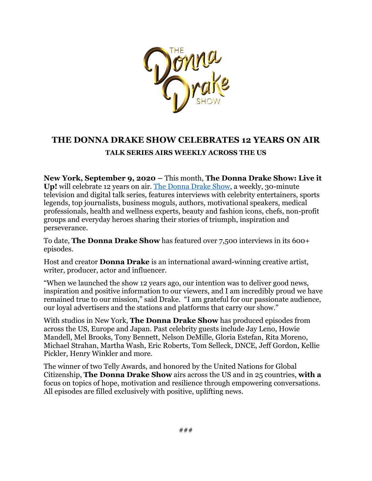

## **THE DONNA DRAKE SHOW CELEBRATES 12 YEARS ON AIR TALK SERIES AIRS WEEKLY ACROSS THE US**

**New York, September 9, 2020 –** This month, **The Donna Drake Show: Live it Up!** will celebrate 12 years on air. The Donna Drake Show, a weekly, 30-minute television and digital talk series, features interviews with celebrity entertainers, sports legends, top journalists, business moguls, authors, motivational speakers, medical professionals, health and wellness experts, beauty and fashion icons, chefs, non-profit groups and everyday heroes sharing their stories of triumph, inspiration and perseverance.

To date, **The Donna Drake Show** has featured over 7,500 interviews in its 600+ episodes.

Host and creator **Donna Drake** is an international award-winning creative artist, writer, producer, actor and influencer.

"When we launched the show 12 years ago, our intention was to deliver good news, inspiration and positive information to our viewers, and I am incredibly proud we have remained true to our mission," said Drake. "I am grateful for our passionate audience, our loyal advertisers and the stations and platforms that carry our show."

With studios in New York, **The Donna Drake Show** has produced episodes from across the US, Europe and Japan. Past celebrity guests include Jay Leno, Howie Mandell, Mel Brooks, Tony Bennett, Nelson DeMille, Gloria Estefan, Rita Moreno, Michael Strahan, Martha Wash, Eric Roberts, Tom Selleck, DNCE, Jeff Gordon, Kellie Pickler, Henry Winkler and more.

The winner of two Telly Awards, and honored by the United Nations for Global Citizenship, **The Donna Drake Show** airs across the US and in 25 countries, **with a**  focus on topics of hope, motivation and resilience through empowering conversations. All episodes are filled exclusively with positive, uplifting news.